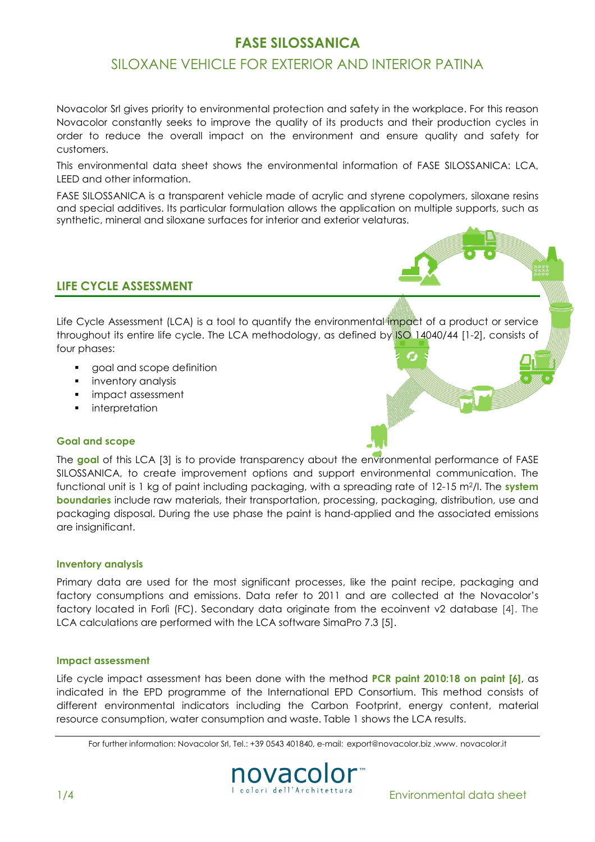# FASE SILOSSANICA

# SILOXANE VEHICLE FOR EXTERIOR AND INTERIOR PATINA

Novacolor Srl gives priority to environmental protection and safety in the workplace. For this reason Novacolor constantly seeks to improve the quality of its products and their production cycles in order to reduce the overall impact on the environment and ensure quality and safety for customers.

This environmental data sheet shows the environmental information of FASE SILOSSANICA: LCA, LEED and other information.

FASE SILOSSANICA is a transparent vehicle made of acrylic and styrene copolymers, siloxane resins and special additives. Its particular formulation allows the application on multiple supports, such as synthetic, mineral and siloxane surfaces for interior and exterior velaturas.

### LIFE CYCLE ASSESSMENT

Life Cycle Assessment (LCA) is a tool to quantify the environmental impact of a product or service throughout its entire life cycle. The LCA methodology, as defined by ISO 14040/44 [1-2], consists of four phases:

- goal and scope definition
- **inventory analysis**
- **impact assessment**
- **·** interpretation

### Goal and scope

The goal of this LCA [3] is to provide transparency about the environmental performance of FASE SILOSSANICA, to create improvement options and support environmental communication. The functional unit is 1 kg of paint including packaging, with a spreading rate of 12-15 m<sup>2</sup>/l. The system boundaries include raw materials, their transportation, processing, packaging, distribution, use and packaging disposal. During the use phase the paint is hand-applied and the associated emissions are insignificant.

#### Inventory analysis

Primary data are used for the most significant processes, like the paint recipe, packaging and factory consumptions and emissions. Data refer to 2011 and are collected at the Novacolor's factory located in Forlì (FC). Secondary data originate from the ecoinvent v2 database [4]. The LCA calculations are performed with the LCA software SimaPro 7.3 [5].

#### Impact assessment

Life cycle impact assessment has been done with the method **PCR paint 2010:18 on paint [6]**, as indicated in the EPD programme of the International EPD Consortium. This method consists of different environmental indicators including the Carbon Footprint, energy content, material resource consumption, water consumption and waste. Table 1 shows the LCA results.

For further information: Novacolor Srl, Tel.: +39 0543 401840, e-mail: export@novacolor.biz ,www. novacolor.it

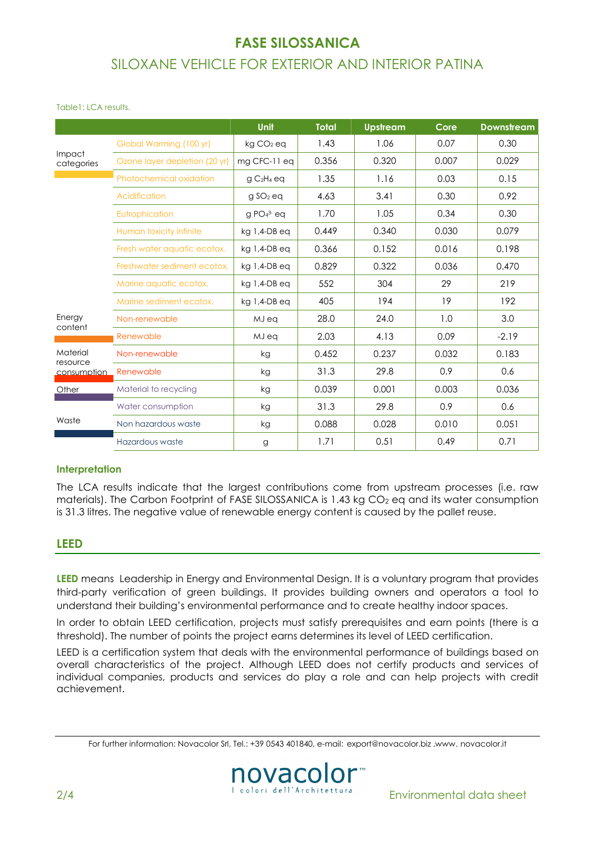# FASE SILOSSANICA SILOXANE VEHICLE FOR EXTERIOR AND INTERIOR PATINA

#### Table1: LCA results.

|                                     |                               | Unit                  | <b>Total</b> | <b>Upstream</b> | Core  | <b>Downstream</b> |
|-------------------------------------|-------------------------------|-----------------------|--------------|-----------------|-------|-------------------|
| Impact<br>categories                | Global Warming (100 yr)       | kg CO <sub>2</sub> eq | 1.43         | 1.06            | 0.07  | 0.30              |
|                                     | Ozone layer depletion (20 yr) | mg CFC-11 eq          | 0.356        | 0.320           | 0.007 | 0.029             |
| Energy<br>content                   | Photochemical oxidation       | $qC_2H_4$ eq          | 1.35         | 1.16            | 0.03  | 0.15              |
|                                     | Acidification                 | g SO <sub>2</sub> eq  | 4.63         | 3.41            | 0.30  | 0.92              |
|                                     | Eutrophication                | $q$ PO $4^3$ eq       | 1.70         | 1.05            | 0.34  | 0.30              |
|                                     | Human toxicity infinite       | kg 1,4-DB ea          | 0.449        | 0.340           | 0.030 | 0.079             |
|                                     | Fresh water aquatic ecotox.   | kg 1,4-DB eq          | 0.366        | 0.152           | 0.016 | 0.198             |
|                                     | Freshwater sediment ecotox.   | kg 1,4-DB eq          | 0.829        | 0.322           | 0.036 | 0.470             |
|                                     | Marine aquatic ecotox.        | kg 1,4-DB eg          | 552          | 304             | 29    | 219               |
|                                     | Marine sediment ecotox.       | kg 1,4-DB eq          | 405          | 194             | 19    | 192               |
|                                     | Non-renewable                 | MJ ea                 | 28.0         | 24.0            | 1.0   | 3.0               |
|                                     | Renewable                     | MJ eq                 | 2.03         | 4.13            | 0.09  | $-2.19$           |
| Material<br>resource<br>consumption | Non-renewable                 | kg                    | 0.452        | 0.237           | 0.032 | 0.183             |
|                                     | Renewable                     | kg                    | 31.3         | 29.8            | 0.9   | 0.6               |
| Other                               | Material to recycling         | kg                    | 0.039        | 0.001           | 0.003 | 0.036             |
| Waste                               | Water consumption             | kg                    | 31.3         | 29.8            | 0.9   | 0.6               |
|                                     | Non hazardous waste           | kg                    | 0.088        | 0.028           | 0.010 | 0.051             |
|                                     | Hazardous waste               | g                     | 1.71         | 0.51            | 0.49  | 0.71              |

#### **Interpretation**

The LCA results indicate that the largest contributions come from upstream processes (i.e. raw materials). The Carbon Footprint of FASE SILOSSANICA is 1.43 kg  $CO<sub>2</sub>$  eq and its water consumption is 31.3 litres. The negative value of renewable energy content is caused by the pallet reuse.

### LEED

LEED means Leadership in Energy and Environmental Design. It is a voluntary program that provides third-party verification of green buildings. It provides building owners and operators a tool to understand their building's environmental performance and to create healthy indoor spaces.

In order to obtain LEED certification, projects must satisfy prerequisites and earn points (there is a threshold). The number of points the project earns determines its level of LEED certification.

LEED is a certification system that deals with the environmental performance of buildings based on overall characteristics of the project. Although LEED does not certify products and services of individual companies, products and services do play a role and can help projects with credit achievement.

For further information: Novacolor Srl, Tel.: +39 0543 401840, e-mail: export@novacolor.biz ,www. novacolor.it

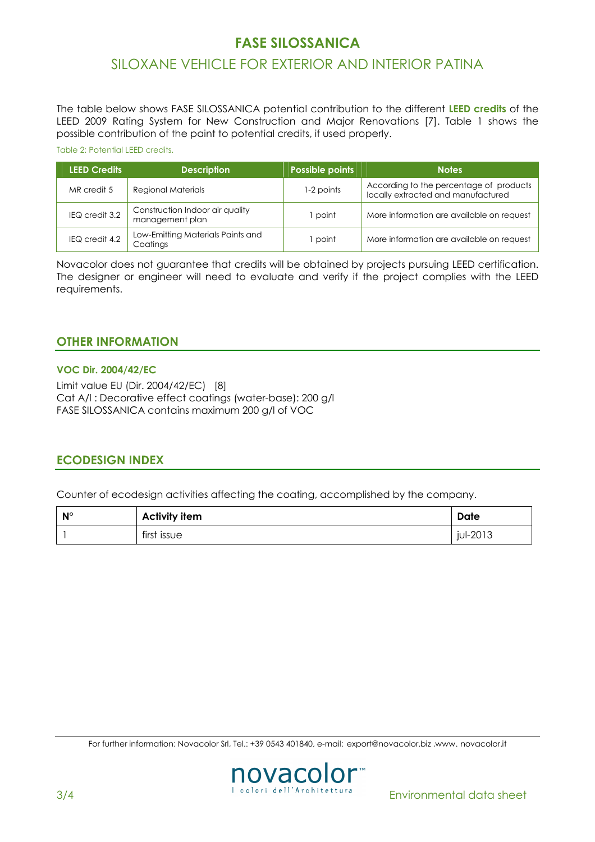# FASE SILOSSANICA

# SILOXANE VEHICLE FOR EXTERIOR AND INTERIOR PATINA

The table below shows FASE SILOSSANICA potential contribution to the different LEED credits of the LEED 2009 Rating System for New Construction and Major Renovations [7]. Table 1 shows the possible contribution of the paint to potential credits, if used properly.

#### Table 2: Potential LEED credits.

| <b>LEED Credits</b> | <b>Description</b>                                 | Possible points | <b>Notes</b>                                                                  |
|---------------------|----------------------------------------------------|-----------------|-------------------------------------------------------------------------------|
| MR credit 5         | <b>Regional Materials</b>                          | 1-2 points      | According to the percentage of products<br>locally extracted and manufactured |
| IEQ credit 3.2      | Construction Indoor air quality<br>management plan | point           | More information are available on request                                     |
| IEQ credit 4.2      | Low-Emitting Materials Paints and<br>Coatings      | point           | More information are available on request                                     |

Novacolor does not guarantee that credits will be obtained by projects pursuing LEED certification. The designer or engineer will need to evaluate and verify if the project complies with the LEED requirements.

### OTHER INFORMATION

#### VOC Dir. 2004/42/EC

Limit value EU (Dir. 2004/42/EC) [8] Cat A/l : Decorative effect coatings (water-base): 200 g/l FASE SILOSSANICA contains maximum 200 g/l of VOC

### ECODESIGN INDEX

Counter of ecodesign activities affecting the coating, accomplished by the company.

| $N^{\circ}$ | <b>Activity item</b> | Date     |
|-------------|----------------------|----------|
|             | first issue          | jul-2013 |

For further information: Novacolor Srl, Tel.: +39 0543 401840, e-mail: export@novacolor.biz ,www. novacolor.it